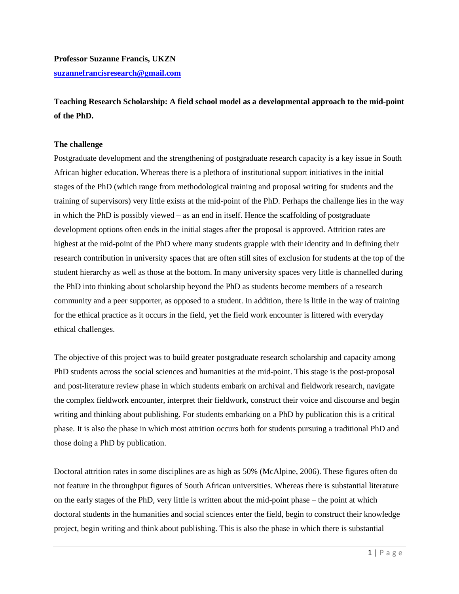**Professor Suzanne Francis, UKZN [suzannefrancisresearch@gmail.com](mailto:suzannefrancisresearch@gmail.com)**

**Teaching Research Scholarship: A field school model as a developmental approach to the mid-point of the PhD.** 

# **The challenge**

Postgraduate development and the strengthening of postgraduate research capacity is a key issue in South African higher education. Whereas there is a plethora of institutional support initiatives in the initial stages of the PhD (which range from methodological training and proposal writing for students and the training of supervisors) very little exists at the mid-point of the PhD. Perhaps the challenge lies in the way in which the PhD is possibly viewed – as an end in itself. Hence the scaffolding of postgraduate development options often ends in the initial stages after the proposal is approved. Attrition rates are highest at the mid-point of the PhD where many students grapple with their identity and in defining their research contribution in university spaces that are often still sites of exclusion for students at the top of the student hierarchy as well as those at the bottom. In many university spaces very little is channelled during the PhD into thinking about scholarship beyond the PhD as students become members of a research community and a peer supporter, as opposed to a student. In addition, there is little in the way of training for the ethical practice as it occurs in the field, yet the field work encounter is littered with everyday ethical challenges.

The objective of this project was to build greater postgraduate research scholarship and capacity among PhD students across the social sciences and humanities at the mid-point. This stage is the post-proposal and post-literature review phase in which students embark on archival and fieldwork research, navigate the complex fieldwork encounter, interpret their fieldwork, construct their voice and discourse and begin writing and thinking about publishing. For students embarking on a PhD by publication this is a critical phase. It is also the phase in which most attrition occurs both for students pursuing a traditional PhD and those doing a PhD by publication.

Doctoral attrition rates in some disciplines are as high as 50% (McAlpine, 2006). These figures often do not feature in the throughput figures of South African universities. Whereas there is substantial literature on the early stages of the PhD, very little is written about the mid-point phase – the point at which doctoral students in the humanities and social sciences enter the field, begin to construct their knowledge project, begin writing and think about publishing. This is also the phase in which there is substantial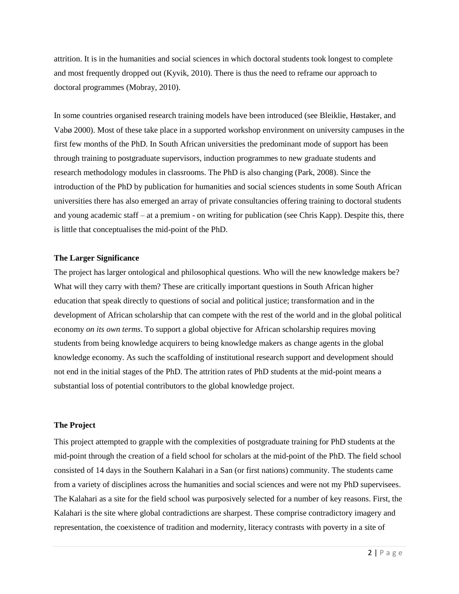attrition. It is in the humanities and social sciences in which doctoral students took longest to complete and most frequently dropped out (Kyvik, 2010). There is thus the need to reframe our approach to doctoral programmes (Mobray, 2010).

In some countries organised research training models have been introduced (see Bleiklie, Høstaker, and Vabø 2000). Most of these take place in a supported workshop environment on university campuses in the first few months of the PhD. In South African universities the predominant mode of support has been through training to postgraduate supervisors, induction programmes to new graduate students and research methodology modules in classrooms. The PhD is also changing (Park, 2008). Since the introduction of the PhD by publication for humanities and social sciences students in some South African universities there has also emerged an array of private consultancies offering training to doctoral students and young academic staff – at a premium - on writing for publication (see Chris Kapp). Despite this, there is little that conceptualises the mid-point of the PhD.

## **The Larger Significance**

The project has larger ontological and philosophical questions. Who will the new knowledge makers be? What will they carry with them? These are critically important questions in South African higher education that speak directly to questions of social and political justice; transformation and in the development of African scholarship that can compete with the rest of the world and in the global political economy *on its own terms*. To support a global objective for African scholarship requires moving students from being knowledge acquirers to being knowledge makers as change agents in the global knowledge economy. As such the scaffolding of institutional research support and development should not end in the initial stages of the PhD. The attrition rates of PhD students at the mid-point means a substantial loss of potential contributors to the global knowledge project.

#### **The Project**

This project attempted to grapple with the complexities of postgraduate training for PhD students at the mid-point through the creation of a field school for scholars at the mid-point of the PhD. The field school consisted of 14 days in the Southern Kalahari in a San (or first nations) community. The students came from a variety of disciplines across the humanities and social sciences and were not my PhD supervisees. The Kalahari as a site for the field school was purposively selected for a number of key reasons. First, the Kalahari is the site where global contradictions are sharpest. These comprise contradictory imagery and representation, the coexistence of tradition and modernity, literacy contrasts with poverty in a site of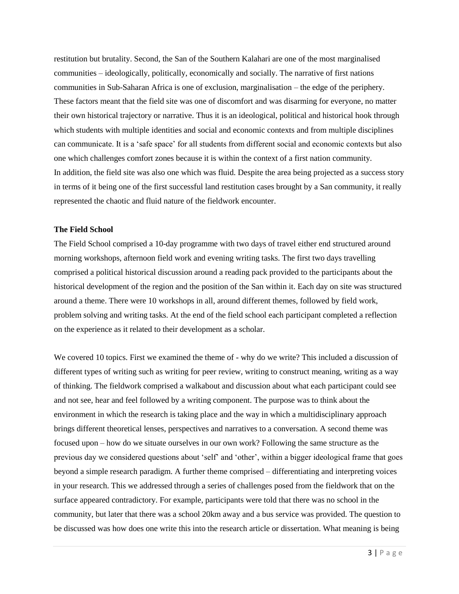restitution but brutality. Second, the San of the Southern Kalahari are one of the most marginalised communities – ideologically, politically, economically and socially. The narrative of first nations communities in Sub-Saharan Africa is one of exclusion, marginalisation – the edge of the periphery. These factors meant that the field site was one of discomfort and was disarming for everyone, no matter their own historical trajectory or narrative. Thus it is an ideological, political and historical hook through which students with multiple identities and social and economic contexts and from multiple disciplines can communicate. It is a 'safe space' for all students from different social and economic contexts but also one which challenges comfort zones because it is within the context of a first nation community. In addition, the field site was also one which was fluid. Despite the area being projected as a success story in terms of it being one of the first successful land restitution cases brought by a San community, it really represented the chaotic and fluid nature of the fieldwork encounter.

# **The Field School**

The Field School comprised a 10-day programme with two days of travel either end structured around morning workshops, afternoon field work and evening writing tasks. The first two days travelling comprised a political historical discussion around a reading pack provided to the participants about the historical development of the region and the position of the San within it. Each day on site was structured around a theme. There were 10 workshops in all, around different themes, followed by field work, problem solving and writing tasks. At the end of the field school each participant completed a reflection on the experience as it related to their development as a scholar.

We covered 10 topics. First we examined the theme of - why do we write? This included a discussion of different types of writing such as writing for peer review, writing to construct meaning, writing as a way of thinking. The fieldwork comprised a walkabout and discussion about what each participant could see and not see, hear and feel followed by a writing component. The purpose was to think about the environment in which the research is taking place and the way in which a multidisciplinary approach brings different theoretical lenses, perspectives and narratives to a conversation. A second theme was focused upon – how do we situate ourselves in our own work? Following the same structure as the previous day we considered questions about 'self' and 'other', within a bigger ideological frame that goes beyond a simple research paradigm. A further theme comprised – differentiating and interpreting voices in your research. This we addressed through a series of challenges posed from the fieldwork that on the surface appeared contradictory. For example, participants were told that there was no school in the community, but later that there was a school 20km away and a bus service was provided. The question to be discussed was how does one write this into the research article or dissertation. What meaning is being